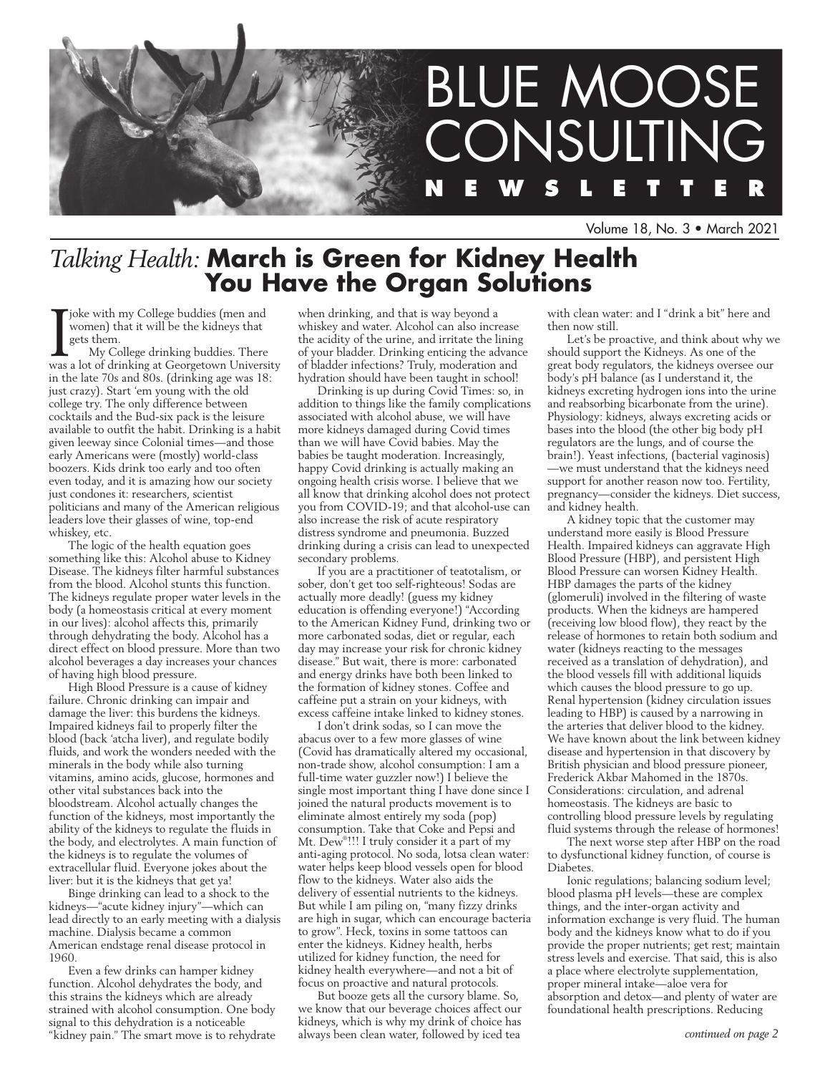

Volume 18, No. 3 • March 2021

## *Talking Health:* **March is Green for Kidney Health You Have the Organ Solutions**

joke with my College buddies (men and women) that it will be the kidneys that gets them.

My College drinking buddies. There was a lot of drinking at Georgetown University in the late 70s and 80s. (drinking age was 18: just crazy). Start 'em young with the old college try. The only difference between cocktails and the Bud-six pack is the leisure available to outfit the habit. Drinking is a habit given leeway since Colonial times—and those early Americans were (mostly) world-class boozers. Kids drink too early and too often even today, and it is amazing how our society just condones it: researchers, scientist politicians and many of the American religious leaders love their glasses of wine, top-end whiskey, etc.

The logic of the health equation goes something like this: Alcohol abuse to Kidney Disease. The kidneys filter harmful substances from the blood. Alcohol stunts this function. The kidneys regulate proper water levels in the body (a homeostasis critical at every moment in our lives): alcohol affects this, primarily through dehydrating the body. Alcohol has a direct effect on blood pressure. More than two alcohol beverages a day increases your chances of having high blood pressure.

High Blood Pressure is a cause of kidney failure. Chronic drinking can impair and damage the liver: this burdens the kidneys. Impaired kidneys fail to properly filter the blood (back 'atcha liver), and regulate bodily fluids, and work the wonders needed with the minerals in the body while also turning vitamins, amino acids, glucose, hormones and other vital substances back into the bloodstream. Alcohol actually changes the function of the kidneys, most importantly the ability of the kidneys to regulate the fluids in the body, and electrolytes. A main function of the kidneys is to regulate the volumes of extracellular fluid. Everyone jokes about the liver: but it is the kidneys that get ya!

Binge drinking can lead to a shock to the kidneys—"acute kidney injury"—which can lead directly to an early meeting with a dialysis machine. Dialysis became a common American endstage renal disease protocol in 1960.

Even a few drinks can hamper kidney function. Alcohol dehydrates the body, and this strains the kidneys which are already strained with alcohol consumption. One body signal to this dehydration is a noticeable "kidney pain." The smart move is to rehydrate when drinking, and that is way beyond a whiskey and water. Alcohol can also increase the acidity of the urine, and irritate the lining of your bladder. Drinking enticing the advance of bladder infections? Truly, moderation and hydration should have been taught in school!

Drinking is up during Covid Times: so, in addition to things like the family complications associated with alcohol abuse, we will have more kidneys damaged during Covid times than we will have Covid babies. May the babies be taught moderation. Increasingly, happy Covid drinking is actually making an ongoing health crisis worse. I believe that we all know that drinking alcohol does not protect you from COVID-19; and that alcohol-use can also increase the risk of acute respiratory distress syndrome and pneumonia. Buzzed drinking during a crisis can lead to unexpected secondary problems.

If you are a practitioner of teatotalism, or sober, don't get too self-righteous! Sodas are actually more deadly! (guess my kidney education is offending everyone!) "According to the American Kidney Fund, drinking two or more carbonated sodas, diet or regular, each day may increase your risk for chronic kidney disease." But wait, there is more: carbonated and energy drinks have both been linked to the formation of kidney stones. Coffee and caffeine put a strain on your kidneys, with excess caffeine intake linked to kidney stones.

I don't drink sodas, so I can move the abacus over to a few more glasses of wine (Covid has dramatically altered my occasional, non-trade show, alcohol consumption: I am a full-time water guzzler now!) I believe the single most important thing I have done since I joined the natural products movement is to eliminate almost entirely my soda (pop) consumption. Take that Coke and Pepsi and Mt. Dew® !!! I truly consider it a part of my anti-aging protocol. No soda, lotsa clean water: water helps keep blood vessels open for blood flow to the kidneys. Water also aids the delivery of essential nutrients to the kidneys. But while I am piling on, "many fizzy drinks are high in sugar, which can encourage bacteria to grow". Heck, toxins in some tattoos can enter the kidneys. Kidney health, herbs utilized for kidney function, the need for kidney health everywhere—and not a bit of focus on proactive and natural protocols.

But booze gets all the cursory blame. So, we know that our beverage choices affect our kidneys, which is why my drink of choice has always been clean water, followed by iced tea

with clean water: and I "drink a bit" here and then now still.

Let's be proactive, and think about why we should support the Kidneys. As one of the great body regulators, the kidneys oversee our body's pH balance (as I understand it, the kidneys excreting hydrogen ions into the urine and reabsorbing bicarbonate from the urine). Physiology: kidneys, always excreting acids or bases into the blood (the other big body pH regulators are the lungs, and of course the brain!). Yeast infections, (bacterial vaginosis) —we must understand that the kidneys need support for another reason now too. Fertility, pregnancy—consider the kidneys. Diet success, and kidney health.

A kidney topic that the customer may understand more easily is Blood Pressure Health. Impaired kidneys can aggravate High Blood Pressure (HBP), and persistent High Blood Pressure can worsen Kidney Health. HBP damages the parts of the kidney (glomeruli) involved in the filtering of waste products. When the kidneys are hampered (receiving low blood flow), they react by the release of hormones to retain both sodium and water (kidneys reacting to the messages received as a translation of dehydration), and the blood vessels fill with additional liquids which causes the blood pressure to go up. Renal hypertension (kidney circulation issues leading to HBP) is caused by a narrowing in the arteries that deliver blood to the kidney. We have known about the link between kidney disease and hypertension in that discovery by British physician and blood pressure pioneer, Frederick Akbar Mahomed in the 1870s. Considerations: circulation, and adrenal homeostasis. The kidneys are basic to controlling blood pressure levels by regulating fluid systems through the release of hormones!

The next worse step after HBP on the road to dysfunctional kidney function, of course is Diabetes.

Ionic regulations; balancing sodium level; blood plasma pH levels—these are complex things, and the inter-organ activity and information exchange is very fluid. The human body and the kidneys know what to do if you provide the proper nutrients; get rest; maintain stress levels and exercise. That said, this is also a place where electrolyte supplementation, proper mineral intake—aloe vera for absorption and detox—and plenty of water are foundational health prescriptions. Reducing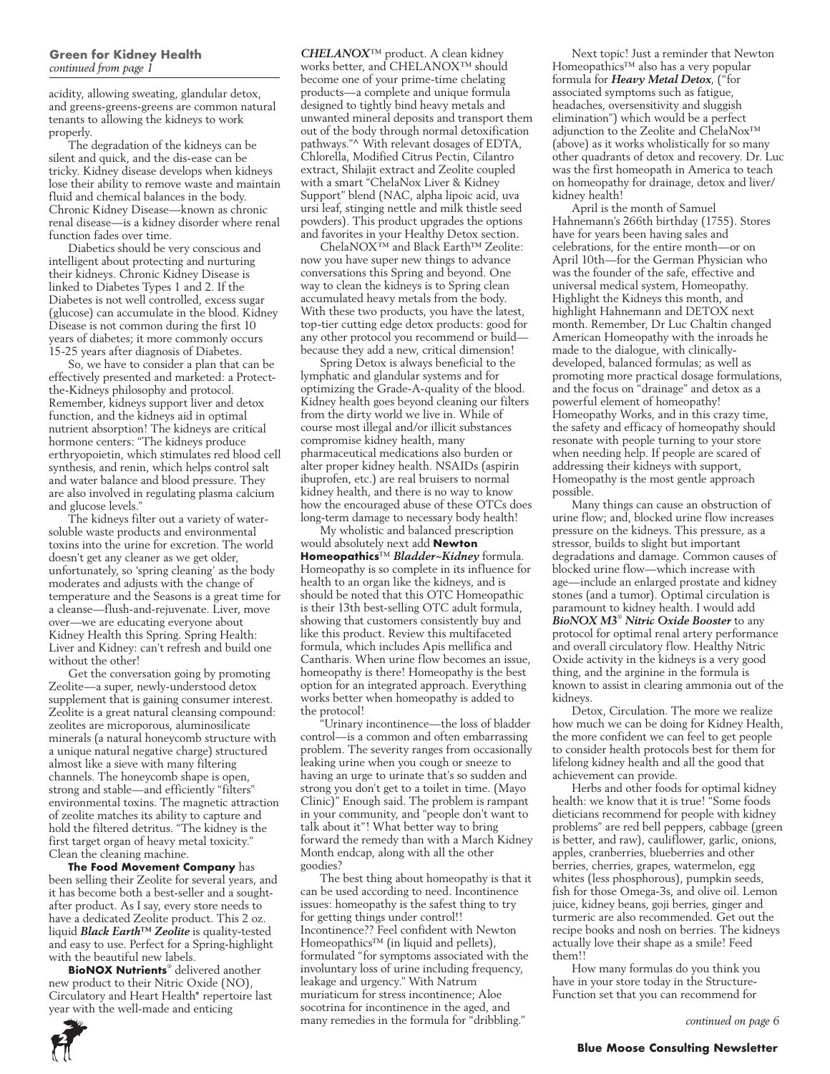acidity, allowing sweating, glandular detox, and greens-greens-greens are common natural tenants to allowing the kidneys to work properly.

The degradation of the kidneys can be silent and quick, and the dis-ease can be tricky. Kidney disease develops when kidneys lose their ability to remove waste and maintain fluid and chemical balances in the body. Chronic Kidney Disease—known as chronic renal disease—is a kidney disorder where renal function fades over time.

Diabetics should be very conscious and intelligent about protecting and nurturing their kidneys. Chronic Kidney Disease is linked to Diabetes Types 1 and 2. If the Diabetes is not well controlled, excess sugar (glucose) can accumulate in the blood. Kidney Disease is not common during the first 10 years of diabetes; it more commonly occurs 15-25 years after diagnosis of Diabetes.

So, we have to consider a plan that can be effectively presented and marketed: a Protectthe-Kidneys philosophy and protocol. Remember, kidneys support liver and detox function, and the kidneys aid in optimal nutrient absorption! The kidneys are critical hormone centers: "The kidneys produce erthryopoietin, which stimulates red blood cell synthesis, and renin, which helps control salt and water balance and blood pressure. They are also involved in regulating plasma calcium and glucose levels."

The kidneys filter out a variety of watersoluble waste products and environmental toxins into the urine for excretion. The world doesn't get any cleaner as we get older, unfortunately, so 'spring cleaning' as the body moderates and adjusts with the change of temperature and the Seasons is a great time for a cleanse—flush-and-rejuvenate. Liver, move over—we are educating everyone about Kidney Health this Spring. Spring Health: Liver and Kidney: can't refresh and build one without the other!

Get the conversation going by promoting Zeolite—a super, newly-understood detox supplement that is gaining consumer interest. Zeolite is a great natural cleansing compound: zeolites are microporous, aluminosilicate minerals (a natural honeycomb structure with a unique natural negative charge) structured almost like a sieve with many filtering channels. The honeycomb shape is open, strong and stable—and efficiently "filters" environmental toxins. The magnetic attraction of zeolite matches its ability to capture and hold the filtered detritus. "The kidney is the first target organ of heavy metal toxicity." Clean the cleaning machine.

**The Food Movement Company** has been selling their Zeolite for several years, and it has become both a best-seller and a soughtafter product. As I say, every store needs to have a dedicated Zeolite product. This 2 oz. liquid *Black Earth™ Zeolite* is quality-tested and easy to use. Perfect for a Spring-highlight with the beautiful new labels.

**BioNOX Nutrients**® delivered another new product to their Nitric Oxide (NO), Circulatory and Heart Health\* repertoire last year with the well-made and enticing

*CHELANOX*™ product. A clean kidney works better, and CHELANOX™ should become one of your prime-time chelating products—a complete and unique formula designed to tightly bind heavy metals and unwanted mineral deposits and transport them out of the body through normal detoxification pathways."^ With relevant dosages of EDTA, Chlorella, Modified Citrus Pectin, Cilantro extract, Shilajit extract and Zeolite coupled with a smart "ChelaNox Liver & Kidney Support" blend (NAC, alpha lipoic acid, uva ursi leaf, stinging nettle and milk thistle seed powders). This product upgrades the options and favorites in your Healthy Detox section.

ChelaNOX™ and Black Earth™ Zeolite: now you have super new things to advance conversations this Spring and beyond. One way to clean the kidneys is to Spring clean accumulated heavy metals from the body. With these two products, you have the latest, top-tier cutting edge detox products: good for any other protocol you recommend or build because they add a new, critical dimension!

Spring Detox is always beneficial to the lymphatic and glandular systems and for optimizing the Grade-A-quality of the blood. Kidney health goes beyond cleaning our filters from the dirty world we live in. While of course most illegal and/or illicit substances compromise kidney health, many pharmaceutical medications also burden or alter proper kidney health. NSAIDs (aspirin ibuprofen, etc.) are real bruisers to normal kidney health, and there is no way to know how the encouraged abuse of these OTCs does long-term damage to necessary body health!

My wholistic and balanced prescription would absolutely next add **Newton Homeopathics**™ *Bladder~Kidney* formula. Homeopathy is so complete in its influence for health to an organ like the kidneys, and is should be noted that this OTC Homeopathic is their 13th best-selling OTC adult formula, showing that customers consistently buy and like this product. Review this multifaceted formula, which includes Apis mellifica and Cantharis. When urine flow becomes an issue, homeopathy is there! Homeopathy is the best option for an integrated approach. Everything works better when homeopathy is added to the protocol!

"Urinary incontinence—the loss of bladder control—is a common and often embarrassing problem. The severity ranges from occasionally leaking urine when you cough or sneeze to having an urge to urinate that's so sudden and strong you don't get to a toilet in time. (Mayo Clinic)" Enough said. The problem is rampant in your community, and "people don't want to talk about it"! What better way to bring forward the remedy than with a March Kidney Month endcap, along with all the other goodies?

The best thing about homeopathy is that it can be used according to need. Incontinence issues: homeopathy is the safest thing to try for getting things under control!! Incontinence?? Feel confident with Newton Homeopathics™ (in liquid and pellets), formulated "for symptoms associated with the involuntary loss of urine including frequency, leakage and urgency." With Natrum muriaticum for stress incontinence; Aloe socotrina for incontinence in the aged, and many remedies in the formula for "dribbling."

Next topic! Just a reminder that Newton Homeopathics™ also has a very popular formula for *Heavy Metal Detox*, ("for associated symptoms such as fatigue, headaches, oversensitivity and sluggish elimination") which would be a perfect adjunction to the Zeolite and ChelaNox™ (above) as it works wholistically for so many other quadrants of detox and recovery. Dr. Luc was the first homeopath in America to teach on homeopathy for drainage, detox and liver/ kidney health!

April is the month of Samuel Hahnemann's 266th birthday (1755). Stores have for years been having sales and celebrations, for the entire month—or on April 10th—for the German Physician who was the founder of the safe, effective and universal medical system, Homeopathy. Highlight the Kidneys this month, and highlight Hahnemann and DETOX next month. Remember, Dr Luc Chaltin changed American Homeopathy with the inroads he made to the dialogue, with clinicallydeveloped, balanced formulas; as well as promoting more practical dosage formulations, and the focus on "drainage" and detox as a powerful element of homeopathy! Homeopathy Works, and in this crazy time, the safety and efficacy of homeopathy should resonate with people turning to your store when needing help. If people are scared of addressing their kidneys with support, Homeopathy is the most gentle approach possible.

Many things can cause an obstruction of urine flow; and, blocked urine flow increases pressure on the kidneys. This pressure, as a stressor, builds to slight but important degradations and damage. Common causes of blocked urine flow—which increase with age—include an enlarged prostate and kidney stones (and a tumor). Optimal circulation is paramount to kidney health. I would add *BioNOX M3*® *Nitric Oxide Booster* to any protocol for optimal renal artery performance and overall circulatory flow. Healthy Nitric Oxide activity in the kidneys is a very good thing, and the arginine in the formula is known to assist in clearing ammonia out of the kidneys.

Detox, Circulation. The more we realize how much we can be doing for Kidney Health, the more confident we can feel to get people to consider health protocols best for them for lifelong kidney health and all the good that achievement can provide.

Herbs and other foods for optimal kidney health: we know that it is true! "Some foods dieticians recommend for people with kidney problems" are red bell peppers, cabbage (green is better, and raw), cauliflower, garlic, onions, apples, cranberries, blueberries and other berries, cherries, grapes, watermelon, egg whites (less phosphorous), pumpkin seeds, fish for those Omega-3s, and olive oil. Lemon juice, kidney beans, goji berries, ginger and turmeric are also recommended. Get out the recipe books and nosh on berries. The kidneys actually love their shape as a smile! Feed them!!

How many formulas do you think you have in your store today in the Structure-Function set that you can recommend for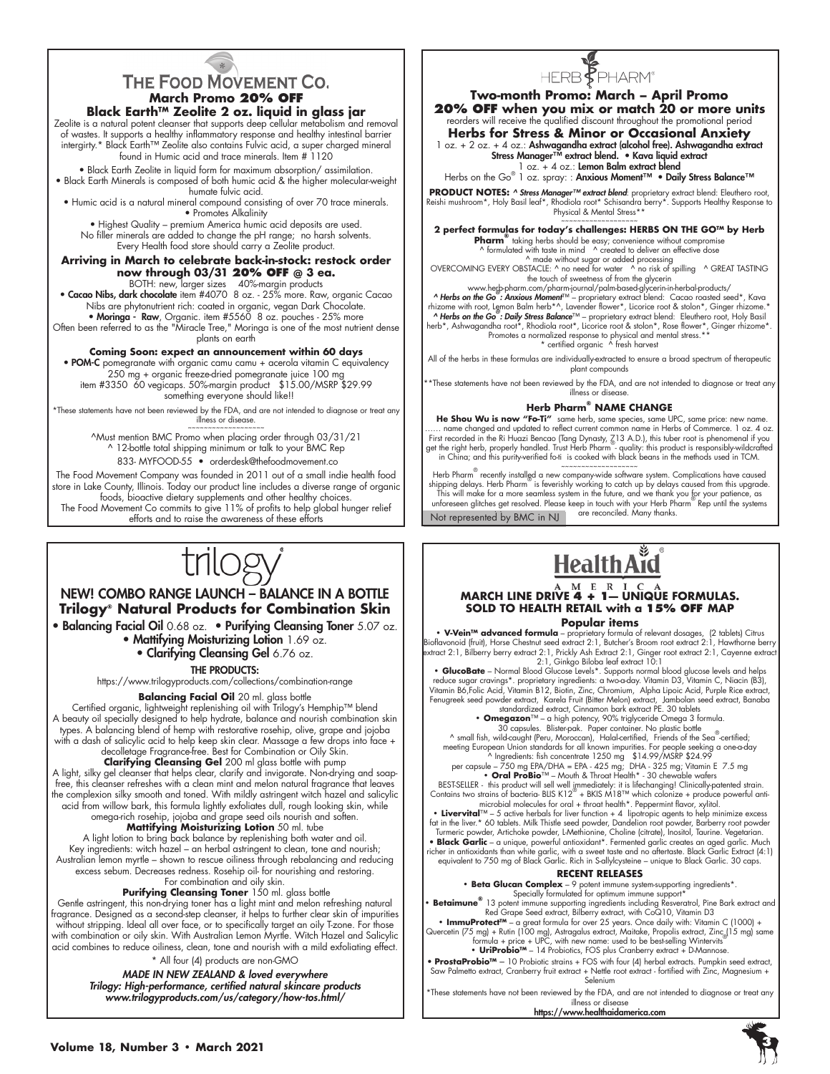#### THE FOOD MOVEMENT CO. **March Promo 20% OFF Black Earth™ Zeolite 2 oz. liquid in glass jar**

Zeolite is a natural potent cleanser that supports deep cellular metabolism and removal of wastes. It supports a healthy inflammatory response and healthy intestinal barrier intergirty.\* Black Earth™ Zeolite also contains Fulvic acid, a super charged mineral found in Humic acid and trace minerals. Item # 1120

• Black Earth Zeolite in liquid form for maximum absorption/ assimilation. • Black Earth Minerals is composed of both humic acid & the higher molecular-weight humate fulvic acid.

• Humic acid is a natural mineral compound consisting of over 70 trace minerals. • Promotes Alkalinity

• Highest Quality – premium America humic acid deposits are used. No filler minerals are added to change the pH range; no harsh solvents. Every Health food store should carry a Zeolite product.

## **Arriving in March to celebrate back-in-stock: restock order**

**now through 03/31 <b>20% OFF** @ **3 ea.**<br>BOTH: new, larger sizes 40%-margin products<br>Cacao Nibs, dark chocolate item #4070 8 oz. - 25% more. Raw, organic Cacao • Nibs are phytonutrient rich: coated in organic, vegan Dark Chocolate.

• Moringa - Raw, Organic. item #5560 8 oz. pouches - 25% more Often been referred to as the "Miracle Tree," Moringa is one of the most nutrient dense plants on earth

#### **Coming Soon: expect an announcement within 60 days**

• POM-C pomegranate with organic camu camu + acerola vitamin C equivalency 250 mg + organic freeze-dried pomegranate juice 100 mg item #3350 60 vegicaps. 50%-margin product \$15.00/MSRP \$29.99 something everyone should like!!

\*These statements have not been reviewed by the FDA, and are not intended to diagnose or treat any illness or disease.

^Must mention BMC Promo when placing order through 03/31/21 ^ 12-bottle total shipping minimum or talk to your BMC Rep 833- MYFOOD-55 • orderdesk@thefoodmovement.co

The Food Movement Company was founded in 2011 out of a small indie health food store in Lake County, Illinois. Today our product line includes a diverse range of organic foods, bioactive dietary supplements and other healthy choices. The Food Movement Co commits to give 11% of profits to help global hunger relief efforts and to raise the awareness of these efforts



#### NEW! COMBO RANGE LAUNCH – BALANCE IN A BOTTLE **Trilogy® Natural Products for Combination Skin**

• Balancing Facial Oil 0.68 oz. • Purifying Cleansing Toner 5.07 oz. • Mattifying Moisturizing Lotion 1.69 oz.

• Clarifying Cleansing Gel 6.76 oz.

#### THE PRODUCTS:

https://www.trilogyproducts.com/collections/combination-range

**Balancing Facial Oil** 20 ml. glass bottle

Certified organic, lightweight replenishing oil with Trilogy's Hemphip™ blend A beauty oil specially designed to help hydrate, balance and nourish combination skin types. A balancing blend of hemp with restorative rosehip, olive, grape and jojoba with a dash of salicylic acid to help keep skin clear. Massage a few drops into face + decolletage Fragrance-free. Best for Combination or Oily Skin.

#### **Clarifying Cleansing Gel** 200 ml glass bottle with pump

A light, silky gel cleanser that helps clear, clarify and invigorate. Non-drying and soapfree, this cleanser refreshes with a clean mint and melon natural fragrance that leaves the complexion silky smooth and toned. With mildly astringent witch hazel and salicylic acid from willow bark, this formula lightly exfoliates dull, rough looking skin, while omega-rich rosehip, jojoba and grape seed oils nourish and soften.

#### **Mattifying Moisturizing Lotion** 50 ml. tube

A light lotion to bring back balance by replenishing both water and oil. Key ingredients: witch hazel – an herbal astringent to clean, tone and nourish; Australian lemon myrtle – shown to rescue oiliness through rebalancing and reducing excess sebum. Decreases redness. Rosehip oil- for nourishing and restoring. For combination and oily skin.

#### Purifying Cleansing Toner 150 ml. glass bottle

Gentle astringent, this non-drying toner has a light mint and melon refreshing natural fragrance. Designed as a second-step cleanser, it helps to further clear skin of impurities without stripping. Ideal all over face, or to specifically target an oily T-zone. For those with combination or oily skin. With Australian Lemon Myrtle. Witch Hazel and Salicylic acid combines to reduce oiliness, clean, tone and nourish with a mild exfoliating effect.

\* All four (4) products are non-GMO

*MADE IN NEW ZEALAND & loved everywhere Trilogy: High-performance, certified natural skincare products www.trilogyproducts.com/us/category/how-tos.html/*

# HERB<sup>F</sup>PHARM<sup>®</sup>

**Two-month Promo: March – April Promo 20% OFF when you mix or match 20 or more units** reorders will receive the qualified discount throughout the promotional period

**Herbs for Stress & Minor or Occasional Anxiety** 1 oz. + 2 oz. + 4 oz.: Ashwagandha extract (alcohol free). Ashwagandha extract Stress Manager™ extract blend. • Kava liquid extract

1 oz. + 4 oz.: Lemon Balm extract blend

Herbs on the Go<sup>®</sup> 1 oz. spray: : Anxious Moment™ • Daily Stress Balance™

**PRODUCT NOTES: ^** *Stress Manager™ extract blend***:** proprietary extract blend: Eleuthero root,<br>Reishi mushroom\*, Holy Basil leaf\*, Rhodiola root\* Schisandra berry\*. Supports Healthy Response to<br>Physical & Mental Stress\*\*

~~~~~~~~~~~~~~~~~~~ **2 perfect formulas for today's challenges: HERBS ON THE GO™ by Herb** 

**Pharm®** taking herbs should be easy; convenience without compromise ^ formulated with taste in mind ^ created to deliver an effective dose

^ made without sugar or added processing OVERCOMING EVERY OBSTACLE: ^ no need for water ^ no risk of spilling ^ GREAT TASTING the touch of sweetness of from the glycerin

www.herb-pharm.com/pharm-journal/palm-based-glycerin-in-herbal-products/ *^ Herbs on the Go® : Anxious Moment*™ – proprietary extract blend: Cacao roasted seed\*, Kava

rhizome with root, Leynon Balm herb\*^, Lavender flower\*, Licorice root & stolon\*, Ginger rhizome.\*<br> **A Herbs on the Go** : **Daily Stress Balance**™ – proprietary extract blend: Eleuthero root, Holy Basil<br>
herb\*, Ashwagandha

All of the herbs in these formulas are individually-extracted to ensure a broad spectrum of therapeutic plant compounds

\*\*These statements have not been reviewed by the FDA, and are not intended to diagnose or treat any illness or disease.

#### **Herb Pharm® NAME CHANGE**

He Shou Wu is now "Fo-Ti" same herb, same species, same UPC, same price: new name. name changed and updated to reflect current common name in Herbs of Commerce. 1 oz. 4 oz. First recorded in the Ri Huazi Bencao (Tang Dynasty, 713 A.D.), this tuber root is phenomenal if you<br>get the right herb, properly handled. Trust Herb Pharm - quality: this product is responsibly-wildcrafted<br>in China; and t

Not represented by BMC in NJ Herb Pharm<sup>®</sup> recently installed a new company-wide software system. Complications have caused<br>shipping delays. Herb Pharm® is feverishly working to catch up by delays caused from this upgrade.<br>This will make for a more se unforeseen glitches get resolved. Please keep in touch with your Herb Pharm® Rep until the systems<br>Net represented by PMC in NU are reconciled. Many thanks.



#### **MARCH LINE DRIVE 4 + 1— UNIQUE FORMULAS. SOLD TO HEALTH RETAIL with a 15% OFF MAP Popular items**

• V-Vein™ advanced formula – proprietary formula of relevant dosages, (2 tablets) Citrus<br>Bioflavonoid (fruit), Horse Chestnut seed extract 2:1, Butcher's Broom root extract 2:1, Hawthorne berry<br>extract 2:1, Bilberry berry

2:1, Ginkgo Biloba leaf extract 10:1<br>• GlucoBate – Normal Blood Glucose Levels \*. Supports normal blood glucose levels and helps<br>• reduce sugar cravings\*. proprietary ingredients: a two-aday. Vitamin D3, Vitamin C, Niacin Fenugreek seed powder extract, Karela Fruit (Bitter Melon) extract, Jambolan seed extract, Banaba standardized extract, Cinnamon bark extract PE. 30 tablets

**• Omegazon**™ – a high potency, 90% triglyceride Omega 3 formula.

30 capsules. Blister-pak. Paper container. No plastic bottle<br>
^ small fish, wild-caught (Peru, Moroccan), Halal-certified, Friends of the Sea<sup>®</sup>-certified;<br>
meeting European Union standards for all known impurities. For p

• **Oral ProBio**<sup>™</sup> – Mouth & Throat Health\* - 30 chewable wafers<br>BEST-SELLER - this product will sell well <sub>li</sub>enthediately: it its lifechanging Clinically-patented strain.<br>Contains two strains of bacteria- BLIS K12<sup>™</sup> +

Turmeric powder, Artichoke powder, L-Methionine, Choline (citrate), Inositol, Taurine. Vegetarian.<br>Black Garlic – a unique, powerful antioxidant\*. Fermented garlic creates an aged garlic. Much اricher in unit<br>richer in ant

equivalent to 750 mg of Black Garlic. Rich in S-allylcysteine – unique to Black Garlic. 30 caps.

#### **RECENT RELEASES**

**Beta Glucan Complex** – 9 potent immune system-supporting ingredients\*.

Specially formulated for optimum immune support\*<br>• Betaimune® 13 potent immune supporting ingredients including Resveratrol, Pine Bark extract and<br>Red Grape Seed extract, Bilberry extract, with CoQ10, Vitamin D3

• **ImmuProtect™** – a great formula for over 25 years. Once daily with: Vitamin C (1000) +<br>Quercetin (75 mg) + Rutin (100 mg), Astragalus extract, Maitake, Propolis extract, Zinc<sub>e</sub>l15 mg) same<br>formula + price + UPC, with n • UriProbio™ – 14 Probiotics, FOS plus Cranberry extract + D-Mannose

• ProstaProbio™ – 10 Probiotic strains + FOS with four (4) herbal extracts. Pumpkin seed extract,<br>Saw Palmetto extract, Cranberry fruit extract + Selenium + Mettle root extract - fortified with Zinc, Magnesium +<br>Selenium

\*These statements have not been reviewed by the FDA, and are not intended to diagnose or treat any illness or disease

https://www.healthaidamerica.com

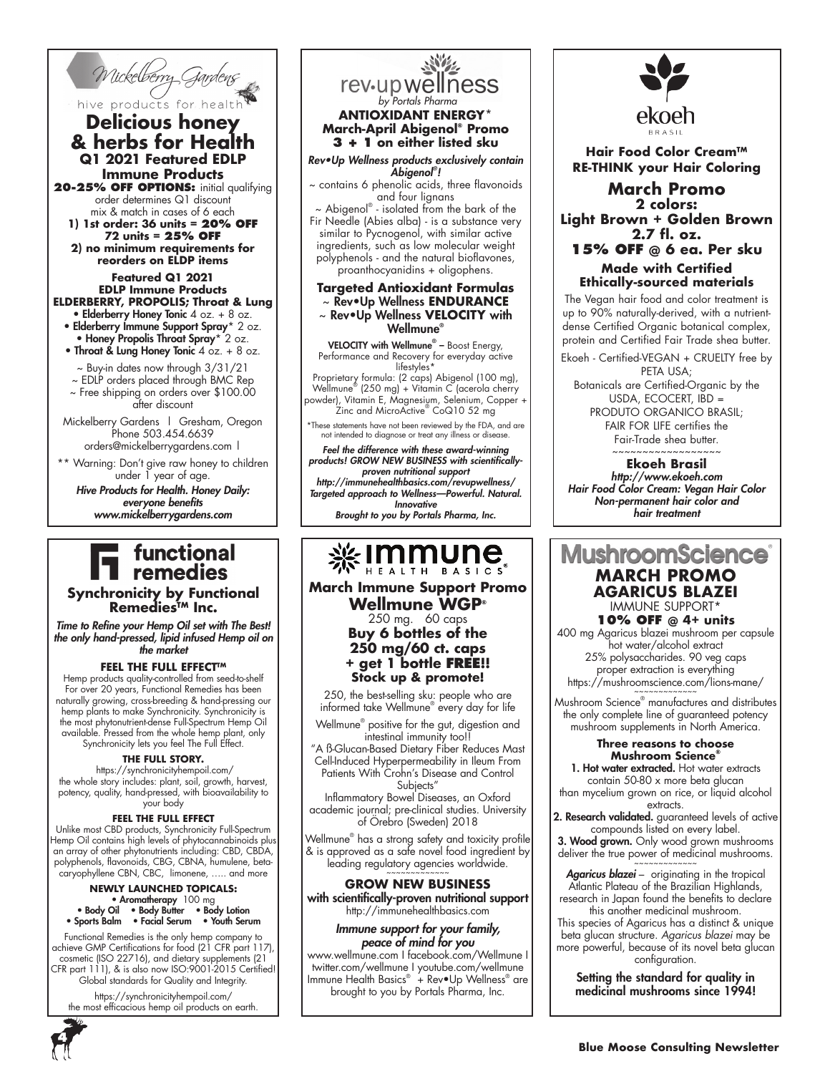

#### hive products for healt **Delicious honey & herbs for Health Q1 2021 Featured EDLP Immune Products**

20-25% OFF OPTIONS: initial qualifying order determines Q1 discount mix & match in cases of 6 each

**1) 1st order: 36 units = 20% OFF 72 units = 25% OFF 2) no minimum requirements for** 

**reorders on ELDP items**

#### **Featured Q1 2021 EDLP Immune Products ELDERBERRY, PROPOLIS; Throat & Lung**

- Elderberry Honey Tonic 4 oz. + 8 oz. • Elderberry Immune Support Spray\* 2 oz.
- Honey Propolis Throat Spray\* 2 oz. • Throat & Lung Honey Tonic 4 oz. + 8 oz.
- ~ Buy-in dates now through 3/31/21
- ~ EDLP orders placed through BMC Rep
- ~ Free shipping on orders over \$100.00 after discount
- Mickelberry Gardens | Gresham, Oregon Phone 503.454.6639 orders@mickelberrygardens.com |
- \*\* Warning: Don't give raw honey to children under 1 year of age.

*Hive Products for Health. Honey Daily: everyone benefits www.mickelberrygardens.com*

## functional remedies

#### **Synchronicity by Functional Remedies™ Inc.**

*Time to Refine your Hemp Oil set with The Best! the only hand-pressed, lipid infused Hemp oil on the market*

#### **FEEL THE FULL EFFECT™**

Hemp products quality-controlled from seed-to-shelf For over 20 years, Functional Remedies has been naturally growing, cross-breeding & hand-pressing our hemp plants to make Synchronicity. Synchronicity is the most phytonutrient-dense Full-Spectrum Hemp Oil available. Pressed from the whole hemp plant, only Synchronicity lets you feel The Full Effect.

#### **THE FULL STORY.**

 https://synchronicityhempoil.com/ the whole story includes: plant, soil, growth, harvest, potency, quality, hand-pressed, with bioavailability to your body

#### **FEEL THE FULL EFFECT**

Unlike most CBD products, Synchronicity Full-Spectrum Hemp Oil contains high levels of phytocannabinoids plus an array of other phytonutrients including: CBD, CBDA, polyphenols, flavonoids, CBG, CBNA, humulene, betacaryophyllene CBN, CBC, limonene, ….. and more

#### **NEWLY LAUNCHED TOPICALS:** • Aromatherapy 100 mg • Body Oil • Body Butter • Body Lotion • Sports Balm • Facial Serum • Youth Serum

Functional Remedies is the only hemp company to achieve GMP Certifications for food (21 CFR part 117), cosmetic (ISO 22716), and dietary supplements (21 CFR part 111), & is also now ISO:9001-2015 Certified! Global standards for Quality and Integrity.

https://synchronicityhempoil.com/ the most efficacious hemp oil products on earth.

## rev-up wellness *by Portals Pharma* **ANTIOXIDANT ENERGY\***

#### **March-April Abigenol® Promo 3 + 1 on either listed sku**

*Rev•Up Wellness products exclusively contain Abigenol® !* 

~ contains 6 phenolic acids, three flavonoids and four lignans

 $\sim$  Abigenol® - isolated from the bark of the Fir Needle (Abies alba) - is a substance very similar to Pycnogenol, with similar active ingredients, such as low molecular weight polyphenols - and the natural bioflavones, proanthocyanidins + oligophens.

#### **Targeted Antioxidant Formulas**  ~ Rev•Up Wellness **ENDURANCE** ~ Rev•Up Wellness **VELOCITY** with Wellmune®

VELOCITY with Wellmune<sup>®</sup> - Boost Energy, Performance and Recovery for everyday active lifestyles\* Proprietary formula: (2 caps) Abigenol (100 mg), Wellmune® (250 mg) + Vitamin C (acerola cherry

powder), Vitamin E, Magnesium, Selenium, Copper + Zinc and MicroActive® CoQ10 52 mg

\*These statements have not been reviewed by the FDA, and are not intended to diagnose or treat any illness or disease.

*Feel the difference with these award-winning products! GROW NEW BUSINESS with scientificallyproven nutritional support http://immunehealthbasics.com/revupwellness/ Targeted approach to Wellness—Powerful. Natural. Innovative Brought to you by Portals Pharma, Inc.*

## 

**March Immune Support Promo Wellmune WGP®** 250 mg. 60 caps **Buy 6 bottles of the 250 mg/60 ct. caps + get 1 bottle FREE!!** 

250, the best-selling sku: people who are informed take Wellmune® every day for life

Wellmune® positive for the gut, digestion and intestinal immunity too!!

"A ß-Glucan-Based Dietary Fiber Reduces Mast Cell-Induced Hyperpermeability in Ileum From Patients With Crohn's Disease and Control Subjects"

Inflammatory Bowel Diseases, an Oxford academic journal; pre-clinical studies. University of Örebro (Sweden) 2018

Wellmune® has a strong safety and toxicity profile & is approved as a safe novel food ingredient by leading regulatory agencies worldwide.

#### **GROW NEW BUSINESS** with scientifically-proven nutritional support http://immunehealthbasics.com

*Immune support for your family, peace of mind for you*

www.wellmune.com I facebook.com/Wellmune I twitter.com/wellmune I youtube.com/wellmune lmmune Health Basics® + Rev•Up Wellness® are brought to you by Portals Pharma, Inc.



#### **Hair Food Color Cream™ RE-THINK your Hair Coloring**

**March Promo 2 colors: Light Brown + Golden Brown 2.7 fl. oz. 15% OFF @ 6 ea. Per sku Made with Certified Ethically-sourced materials**

The Vegan hair food and color treatment is up to 90% naturally-derived, with a nutrientdense Certified Organic botanical complex, protein and Certified Fair Trade shea butter.

Ekoeh - Certified-VEGAN + CRUELTY free by PETA USA;

Botanicals are Certified-Organic by the USDA, ECOCERT, IBD = PRODUTO ORGANICO BRASIL; FAIR FOR LIFE certifies the Fair-Trade shea butter. ~~~~~~~~~~~~~~~~~~

**Ekoeh Brasil** *http://www.ekoeh.com Hair Food Color Cream: Vegan Hair Color Non-permanent hair color and hair treatment*

### **MushroomScier MARCH PROMO AGARICUS BLAZEI** IMMUNE SUPPORT\*

**10% OFF @ 4+ units** 400 mg Agaricus blazei mushroom per capsule hot water/alcohol extract 25% polysaccharides. 90 veg caps proper extraction is everything https://mushroomscience.com/lions-mane/

Mushroom Science® manufactures and distributes the only complete line of guaranteed potency mushroom supplements in North America.

#### **Three reasons to choose Mushroom Science®**

1. Hot water extracted. Hot water extracts contain 50-80 x more beta glucan than mycelium grown on rice, or liquid alcohol

extracts. 2. Research validated. guaranteed levels of active compounds listed on every label.

3. Wood grown. Only wood grown mushrooms deliver the true power of medicinal mushrooms.

*Agaricus blazei* – originating in the tropical Atlantic Plateau of the Brazilian Highlands, research in Japan found the benefits to declare this another medicinal mushroom.

This species of Agaricus has a distinct & unique beta glucan structure. *Agaricus blazei* may be more powerful, because of its novel beta glucan configuration.

Setting the standard for quality in medicinal mushrooms since 1994!



**Stock up & promote!**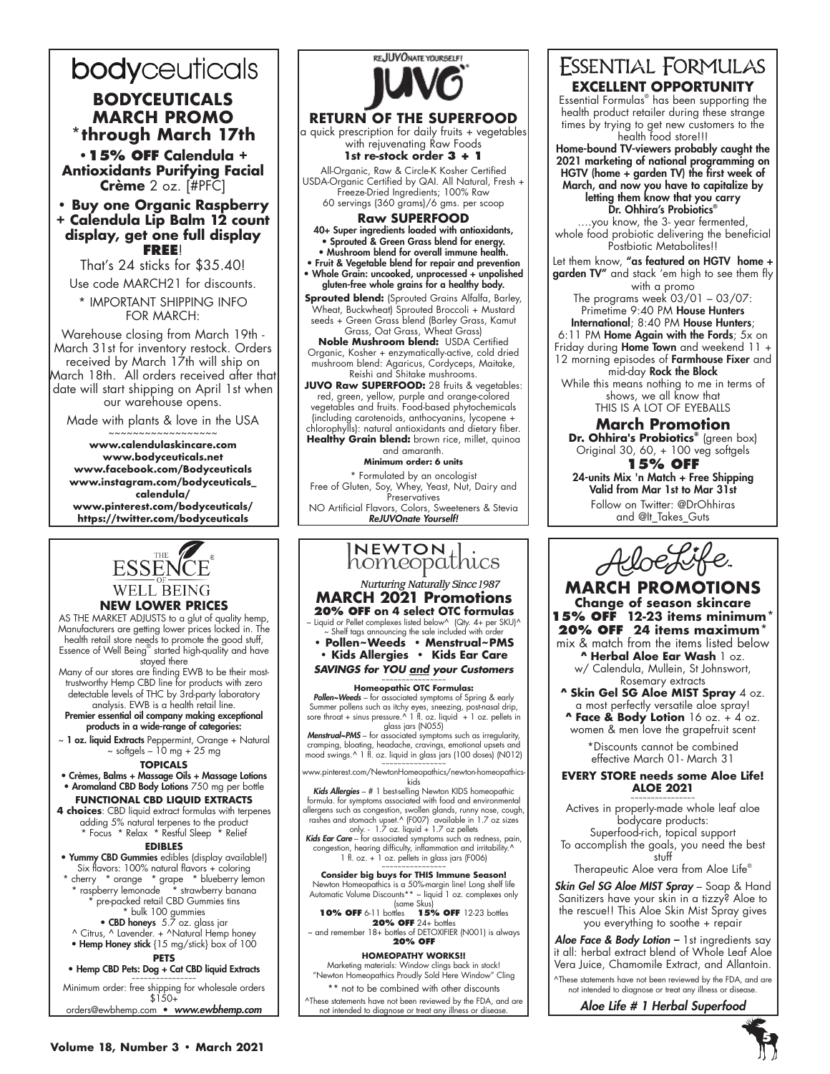## bodyceuticals

#### **BODYCEUTICALS MARCH PROMO \*through March 17th**

**•15% OFF Calendula + Antioxidants Purifying Facial Crème** 2 oz. [#PFC]

#### **• Buy one Organic Raspberry + Calendula Lip Balm 12 count display, get one full display FREE**!

That's 24 sticks for \$35.40!

Use code MARCH21 for discounts. \* IMPORTANT SHIPPING INFO FOR MARCH:

Warehouse closing from March 19th - March 31st for inventory restock. Orders received by March 17th will ship on March 18th. All orders received after that date will start shipping on April 1st when our warehouse opens.

Made with plants & love in the USA

~~~~~~~~~~~~~~~~~~ **www.calendulaskincare.com www.bodyceuticals.net www.facebook.com/Bodyceuticals www.instagram.com/bodyceuticals\_ calendula/ www.pinterest.com/bodyceuticals/ https://twitter.com/bodyceuticals**



red, green, yellow, purple and orange-colored vegetables and fruits. Food-based phytochemicals (including carotenoids, anthocyanins, lycopene + chlorophylls): natural antioxidants and dietary fiber. Healthy Grain blend: brown rice, millet, quinoa

and amaranth. **Minimum order: 6 units** \* Formulated by an oncologist Free of Gluten, Soy, Whey, Yeast, Nut, Dairy and Preservatives NO Artificial Flavors, Colors, Sweeteners & Stevia *ReJUVOnate Yourself!*



## **ESSENTIAL FORMULAS EXCELLENT OPPORTUNITY**

Essential Formulas® has been supporting the health product retailer during these strange times by trying to get new customers to the health food store!!!

Home-bound TV-viewers probably caught the 2021 marketing of national programming on HGTV (home + garden TV) the first week of March, and now you have to capitalize by letting them know that you carry

Dr. Ohhira's Probiotics® ….you know, the 3- year fermented, whole food probiotic delivering the beneficial Postbiotic Metabolites!!

Let them know, "as featured on HGTV home + garden TV" and stack 'em high to see them fly with a promo

The programs week 03/01 – 03/07: Primetime 9:40 PM House Hunters International; 8:40 PM House Hunters; 6:11 PM Home Again with the Fords; 5x on Friday during Home Town and weekend 11 + 12 morning episodes of Farmhouse Fixer and mid-day Rock the Block

While this means nothing to me in terms of shows, we all know that THIS IS A LOT OF EYEBALLS

**March Promotion Dr. Ohhira's Probiotics®** (green box) Original 30, 60, + 100 veg softgels **15% OFF**

24-units Mix 'n Match + Free Shipping Valid from Mar 1st to Mar 31st Follow on Twitter: @DrOhhiras and @It Takes Guts



**MARCH PROMOTIONS Change of season skincare 15% OFF 12-23 items minimum\* 20% OFF 24 items maximum\*** mix & match from the items listed below **^ Herbal Aloe Ear Wash** 1 oz. w/ Calendula, Mullein, St Johnswort, Rosemary extracts **^ Skin Gel SG Aloe MIST Spray** 4 oz.

a most perfectly versatile aloe spray! **^ Face & Body Lotion** 16 oz. + 4 oz. women & men love the grapefruit scent

> \*Discounts cannot be combined effective March 01- March 31

**EVERY STORE needs some Aloe Life! ALOE 2021** ~~~~~~~~~~~~~~~~

Actives in properly-made whole leaf aloe bodycare products: Superfood-rich, topical support To accomplish the goals, you need the best

stuff Therapeutic Aloe vera from Aloe Life®

*Skin Gel SG Aloe MIST Spray* – Soap & Hand Sanitizers have your skin in a tizzy? Aloe to the rescue!! This Aloe Skin Mist Spray gives you everything to soothe + repair

*Aloe Face & Body Lotion –* 1st ingredients say it all: herbal extract blend of Whole Leaf Aloe Vera Juice, Chamomile Extract, and Allantoin. ^These statements have not been reviewed by the FDA, and are

not intended to diagnose or treat any illness or disease. *Aloe Life # 1 Herbal Superfood*



#### **NEW LOWER PRICES**

AS THE MARKET ADJUSTS to a glut of quality hemp, Manufacturers are getting lower prices locked in. The health retail store needs to promote the good stuff, Essence of Well Being® started high-quality and have stayed there

Many of our stores are finding EWB to be their mosttrustworthy Hemp CBD line for products with zero detectable levels of THC by 3rd-party laboratory analysis. EWB is a health retail line.

Premier essential oil company making exceptional products in a wide-range of categories:

~ 1 oz. liquid Extracts Peppermint, Orange + Natural  $\sim$  softgels – 10 mg + 25 mg

#### **TOPICALS**

• Crèmes, Balms + Massage Oils + Massage Lotions • Aromaland CBD Body Lotions 750 mg per bottle **FUNCTIONAL CBD LIQUID EXTRACTS**

**4 choices**: CBD liquid extract formulas with terpenes adding 5% natural terpenes to the product \* Focus \* Relax \* Restful Sleep \* Relief

#### **EDIBLES**

• Yummy CBD Gummies edibles (display available!) Six flavors: 100% natural flavors + coloring \* cherry \* orange \* grape \* blueberry lemon

\* raspberry lemonade \* strawberry banana \* pre-packed retail CBD Gummies tins

### \* bulk 100 gummies • CBD honeys 5.7 oz. glass jar

^ Citrus, ^ Lavender. + ^Natural Hemp honey • Hemp Honey stick {15 mg/stick} box of 100

**PETS** 

• Hemp CBD Pets: Dog + Cat CBD liquid Extracts

~~~~~~~~~~~~~~~~ Minimum order: free shipping for wholesale orders  $$150+$ 

orders@ewbhemp.com • *www.ewbhemp.com*

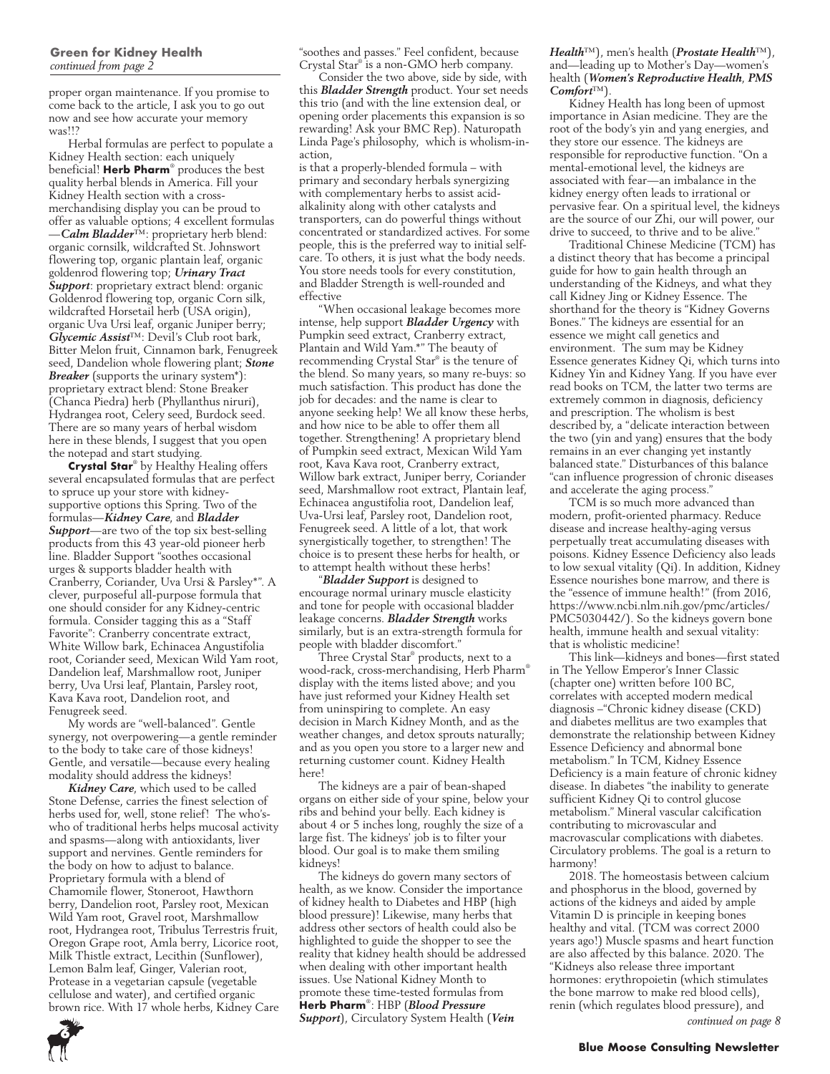proper organ maintenance. If you promise to come back to the article, I ask you to go out now and see how accurate your memory was!!?

Herbal formulas are perfect to populate a Kidney Health section: each uniquely beneficial! **Herb Pharm**® produces the best quality herbal blends in America. Fill your Kidney Health section with a crossmerchandising display you can be proud to offer as valuable options; 4 excellent formulas —*Calm Bladder*™: proprietary herb blend: organic cornsilk, wildcrafted St. Johnswort flowering top, organic plantain leaf, organic goldenrod flowering top; *Urinary Tract Support*: proprietary extract blend: organic Goldenrod flowering top, organic Corn silk, wildcrafted Horsetail herb (USA origin), organic Uva Ursi leaf, organic Juniper berry; *Glycemic Assist*™: Devil's Club root bark, Bitter Melon fruit, Cinnamon bark, Fenugreek seed, Dandelion whole flowering plant; *Stone Breaker* (supports the urinary system\*): proprietary extract blend: Stone Breaker (Chanca Piedra) herb (Phyllanthus niruri), Hydrangea root, Celery seed, Burdock seed. There are so many years of herbal wisdom here in these blends, I suggest that you open the notepad and start studying.

**Crystal Star**® by Healthy Healing offers several encapsulated formulas that are perfect to spruce up your store with kidneysupportive options this Spring. Two of the formulas—*Kidney Care*, and *Bladder Support*—are two of the top six best-selling products from this 43 year-old pioneer herb line. Bladder Support "soothes occasional urges & supports bladder health with Cranberry, Coriander, Uva Ursi & Parsley\*". A clever, purposeful all-purpose formula that one should consider for any Kidney-centric formula. Consider tagging this as a "Staff Favorite": Cranberry concentrate extract, White Willow bark, Echinacea Angustifolia root, Coriander seed, Mexican Wild Yam root, Dandelion leaf, Marshmallow root, Juniper berry, Uva Ursi leaf, Plantain, Parsley root, Kava Kava root, Dandelion root, and Fenugreek seed.

My words are "well-balanced". Gentle synergy, not overpowering—a gentle reminder to the body to take care of those kidneys! Gentle, and versatile—because every healing modality should address the kidneys!

*Kidney Care*, which used to be called Stone Defense, carries the finest selection of herbs used for, well, stone relief! The who'swho of traditional herbs helps mucosal activity and spasms—along with antioxidants, liver support and nervines. Gentle reminders for the body on how to adjust to balance. Proprietary formula with a blend of Chamomile flower, Stoneroot, Hawthorn berry, Dandelion root, Parsley root, Mexican Wild Yam root, Gravel root, Marshmallow root, Hydrangea root, Tribulus Terrestris fruit, Oregon Grape root, Amla berry, Licorice root, Milk Thistle extract, Lecithin (Sunflower), Lemon Balm leaf, Ginger, Valerian root, Protease in a vegetarian capsule (vegetable cellulose and water), and certified organic brown rice. With 17 whole herbs, Kidney Care "soothes and passes." Feel confident, because Crystal Star® is a non-GMO herb company.

Consider the two above, side by side, with this *Bladder Strength* product. Your set needs this trio (and with the line extension deal, or opening order placements this expansion is so rewarding! Ask your BMC Rep). Naturopath Linda Page's philosophy, which is wholism-inaction,

is that a properly-blended formula – with primary and secondary herbals synergizing with complementary herbs to assist acidalkalinity along with other catalysts and transporters, can do powerful things without concentrated or standardized actives. For some people, this is the preferred way to initial selfcare. To others, it is just what the body needs. You store needs tools for every constitution, and Bladder Strength is well-rounded and effective

"When occasional leakage becomes more intense, help support *Bladder Urgency* with Pumpkin seed extract, Cranberry extract, Plantain and Wild Yam.\*" The beauty of recommending Crystal Star® is the tenure of the blend. So many years, so many re-buys: so much satisfaction. This product has done the job for decades: and the name is clear to anyone seeking help! We all know these herbs. and how nice to be able to offer them all together. Strengthening! A proprietary blend of Pumpkin seed extract, Mexican Wild Yam root, Kava Kava root, Cranberry extract, Willow bark extract, Juniper berry, Coriander seed, Marshmallow root extract, Plantain leaf, Echinacea angustifolia root, Dandelion leaf, Uva-Ursi leaf, Parsley root, Dandelion root, Fenugreek seed. A little of a lot, that work synergistically together, to strengthen! The choice is to present these herbs for health, or to attempt health without these herbs!

"*Bladder Support* is designed to encourage normal urinary muscle elasticity and tone for people with occasional bladder leakage concerns. *Bladder Strength* works similarly, but is an extra-strength formula for people with bladder discomfort."

Three Crystal Star® products, next to a wood-rack, cross-merchandising, Herb Pharm® display with the items listed above; and you have just reformed your Kidney Health set from uninspiring to complete. An easy decision in March Kidney Month, and as the weather changes, and detox sprouts naturally; and as you open you store to a larger new and returning customer count. Kidney Health here<sup>1</sup>

The kidneys are a pair of bean-shaped organs on either side of your spine, below your ribs and behind your belly. Each kidney is about 4 or 5 inches long, roughly the size of a large fist. The kidneys' job is to filter your blood. Our goal is to make them smiling kidneys!

The kidneys do govern many sectors of health, as we know. Consider the importance of kidney health to Diabetes and HBP (high blood pressure)! Likewise, many herbs that address other sectors of health could also be highlighted to guide the shopper to see the reality that kidney health should be addressed when dealing with other important health issues. Use National Kidney Month to promote these time-tested formulas from **Herb Pharm**® : HBP (*Blood Pressure Support*), Circulatory System Health (*Vein* 

#### *Health*™), men's health (*Prostate Health*™), and—leading up to Mother's Day—women's health (*Women's Reproductive Health*, *PMS Comfort*™).

Kidney Health has long been of upmost importance in Asian medicine. They are the root of the body's yin and yang energies, and they store our essence. The kidneys are responsible for reproductive function. "On a mental-emotional level, the kidneys are associated with fear—an imbalance in the kidney energy often leads to irrational or pervasive fear. On a spiritual level, the kidneys are the source of our Zhi, our will power, our drive to succeed, to thrive and to be alive.

Traditional Chinese Medicine (TCM) has a distinct theory that has become a principal guide for how to gain health through an understanding of the Kidneys, and what they call Kidney Jing or Kidney Essence. The shorthand for the theory is "Kidney Governs Bones." The kidneys are essential for an essence we might call genetics and environment. The sum may be Kidney Essence generates Kidney Qi, which turns into Kidney Yin and Kidney Yang. If you have ever read books on TCM, the latter two terms are extremely common in diagnosis, deficiency and prescription. The wholism is best described by, a "delicate interaction between the two (yin and yang) ensures that the body remains in an ever changing yet instantly balanced state." Disturbances of this balance "can influence progression of chronic diseases and accelerate the aging process."

TCM is so much more advanced than modern, profit-oriented pharmacy. Reduce disease and increase healthy-aging versus perpetually treat accumulating diseases with poisons. Kidney Essence Deficiency also leads to low sexual vitality (Qi). In addition, Kidney Essence nourishes bone marrow, and there is the "essence of immune health!" (from 2016, https://www.ncbi.nlm.nih.gov/pmc/articles/ PMC5030442/). So the kidneys govern bone health, immune health and sexual vitality: that is wholistic medicine!

This link—kidneys and bones—first stated in The Yellow Emperor's Inner Classic (chapter one) written before 100 BC, correlates with accepted modern medical diagnosis –"Chronic kidney disease (CKD) and diabetes mellitus are two examples that demonstrate the relationship between Kidney Essence Deficiency and abnormal bone metabolism." In TCM, Kidney Essence Deficiency is a main feature of chronic kidney disease. In diabetes "the inability to generate sufficient Kidney Qi to control glucose metabolism." Mineral vascular calcification contributing to microvascular and macrovascular complications with diabetes. Circulatory problems. The goal is a return to harmony!

2018. The homeostasis between calcium and phosphorus in the blood, governed by actions of the kidneys and aided by ample Vitamin D is principle in keeping bones healthy and vital. (TCM was correct 2000 years ago!) Muscle spasms and heart function are also affected by this balance. 2020. The "Kidneys also release three important hormones: erythropoietin (which stimulates the bone marrow to make red blood cells), renin (which regulates blood pressure), and

*continued on page 8*

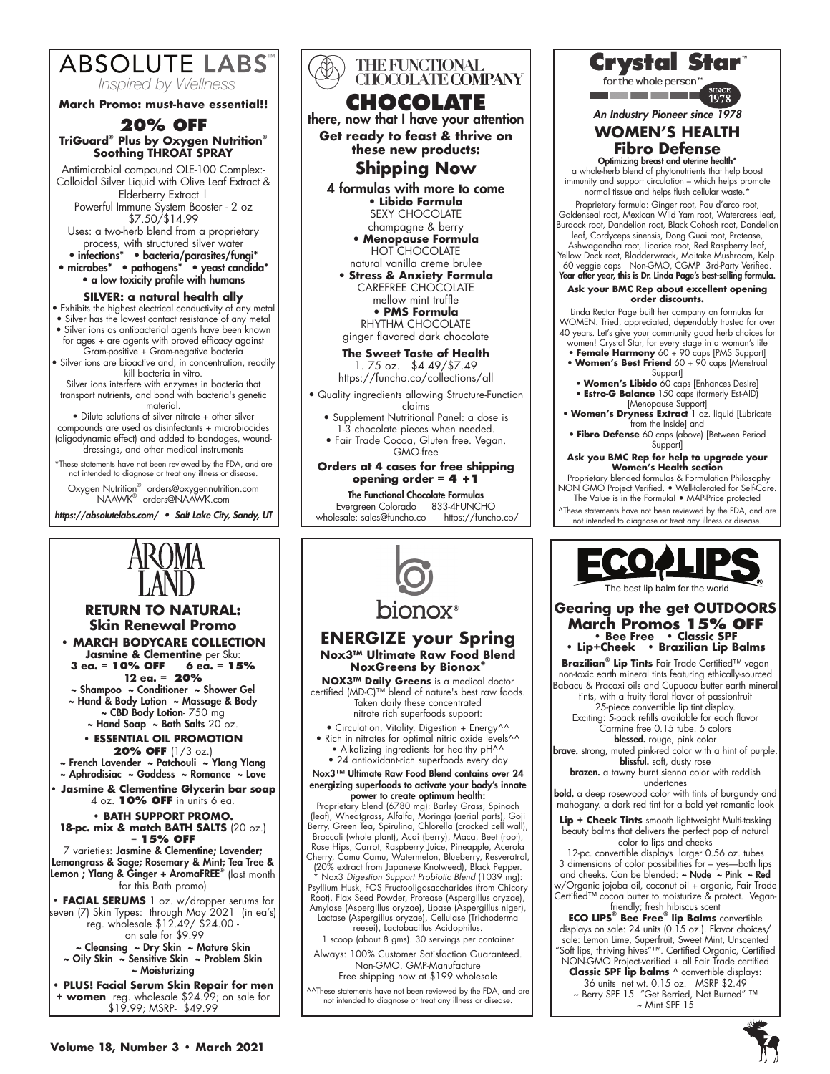

**March Promo: must-have essential!!**

#### **20% OFF TriGuard® Plus by Oxygen Nutrition® Soothing THROAT SPRAY**

Antimicrobial compound OLE-100 Complex:- Colloidal Silver Liquid with Olive Leaf Extract & Elderberry Extract |

Powerful Immune System Booster - 2 oz \$7.50/\$14.99

Uses: a two-herb blend from a proprietary process, with structured silver water • infections\* • bacteria/parasites/fungi\*

• microbes\* • pathogens\* • yeast candida\* • a low toxicity profile with humans

#### **SILVER: a natural health ally**

• Exhibits the highest electrical conductivity of any metal

• Silver has the lowest contact resistance of any metal • Silver ions as antibacterial agents have been known

for ages + are agents with proved efficacy against Gram-positive + Gram-negative bacteria • Silver ions are bioactive and, in concentration, readily

kill bacteria in vitro. Silver ions interfere with enzymes in bacteria that

transport nutrients, and bond with bacteria's genetic material. • Dilute solutions of silver nitrate + other silver

compounds are used as disinfectants + microbiocides (oligodynamic effect) and added to bandages, wounddressings, and other medical instruments

\*These statements have not been reviewed by the FDA, and are not intended to diagnose or treat any illness or disease.

Oxygen Nutrition® orders@oxygennutrition.com<br>NAAWK® orders@NAAWK.com

*https://absolutelabs.com/ • Salt Lake City, Sandy, UT*

**RETURN TO NATURAL: Skin Renewal Promo • MARCH BODYCARE COLLECTION Jasmine & Clementine** per Sku:

**12 ea. = 20%** ~ Shampoo ~ Conditioner ~ Shower Gel ~ Hand & Body Lotion ~ Massage & Body ~ CBD Body Lotion- 750 mg  $\sim$  Hand Soap  $\sim$  Bath Salts 20 oz. **• ESSENTIAL OIL PROMOTION 20% OFF** (1/3 oz.) ~ French Lavender ~ Patchouli ~ Ylang Ylang ~ Aphrodisiac ~ Goddess ~ Romance ~ Love **• Jasmine & Clementine Glycerin bar soap** 4 oz. **10% OFF** in units 6 ea. **• BATH SUPPORT PROMO. 18-pc. mix & match BATH SALTS** (20 oz.) = **15% OFF** 7 varieties: Jasmine & Clementine; Lavender; Lemongrass & Sage; Rosemary & Mint; Tea Tree & Lemon; Ylang & Ginger + AromaFREE® (last month for this Bath promo) **• FACIAL SERUMS** 1 oz. w/dropper serums for seven (7) Skin Types: through May 2021 (in ea's) reg. wholesale \$12.49/ \$24.00 on sale for \$9.99 ~ Cleansing ~ Dry Skin ~ Mature Skin ~ Oily Skin ~ Sensitive Skin ~ Problem Skin ~ Moisturizing **• PLUS! Facial Serum Skin Repair for men + women** reg. wholesale \$24.99; on sale for \$19.99; MSRP- \$49.99

**3 ea. = 10% OFF 6 ea. = 15%**





nitrate rich superfoods support: • Circulation, Vitality, Digestion + Energy^^ • Rich in nitrates for optimal nitric oxide levels<sup>^^</sup>

• Alkalizing ingredients for healthy pH^^ • 24 antioxidant-rich superfoods every day

Nox3™ Ultimate Raw Food Blend contains over 24 energizing superfoods to activate your body's innate power to create optimum health:

Proprietary blend (6780 mg): Barley Grass, Spinach (leaf), Wheatgrass, Alfalfa, Moringa (aerial parts), Goji Berry, Green Tea, Spirulina, Chlorella (cracked cell wall), Broccoli (whole plant), Acai (berry), Maca, Beet (root), Rose Hips, Carrot, Raspberry Juice, Pineapple, Acerola Cherry, Camu Camu, Watermelon, Blueberry, Resveratrol,

(20% extract from Japanese Knotweed), Black Pepper. \* Nox3 *Digestion Support Probiotic Blend* (1039 mg): Psyllium Husk, FOS Fructooligosaccharides (from Chicory Root), Flax Seed Powder, Protease (Aspergillus oryzae), Amylase (Aspergillus oryzae), Lipase (Aspergillus niger), Lactase (Aspergillus oryzae), Cellulase (Trichoderma reesei), Lactobacillus Acidophilus.

1 scoop (about 8 gms). 30 servings per container

Always: 100% Customer Satisfaction Guaranteed. Non-GMO. GMP-Manufacture

Free shipping now at \$199 wholesale

^^These statements have not been reviewed by the FDA, and are not intended to diagnose or treat any illness or disease.



for the whole person

<u> De Barcelona de Carlos de Ba</u>

*An Industry Pioneer since 1978*

#### **WOMEN'S HEALTH Fibro Defense**

Optimizing breast and uterine health\* a whole-herb blend of phytonutrients that help boost immunity and support circulation – which helps promote normal tissue and helps flush cellular waste.\*

Proprietary formula: Ginger root, Pau d'arco root, Goldenseal root, Mexican Wild Yam root, Watercress leaf, Burdock root, Dandelion root, Black Cohosh root, Dandelion

leaf, Cordyceps sinensis, Dong Quai root, Protease,

Ashwagandha root, Licorice root, Red Raspberry leaf, Yellow Dock root, Bladderwrack, Maitake Mushroom, Kelp. 60 veggie caps Non-GMO, CGMP 3rd-Party Verified. Year after year, this is Dr. Linda Page's best-selling formula.

#### **Ask your BMC Rep about excellent opening order discounts.**

Linda Rector Page built her company on formulas for WOMEN. Tried, appreciated, dependably trusted for over 40 years. Let's give your community good herb choices for

- women! Crystal Star, for every stage in a woman's life **Female Harmony** 60 + 90 caps [PMS Support] **Women's Best Friend** 60 + 90 caps [Menstrual
- Support] **Women's Libido** 60 caps [Enhances Desire]
- **Estro-G Balance** 150 caps (formerly Est-AID) [Menopause Support]
- **Women's Dryness Extract** 1 oz. liquid [Lubricate
- from the Inside] and<br>• **Fibro Defense** 60 caps (above) [Between Period Support]

#### **Ask you BMC Rep for help to upgrade your Women's Health section**

- Proprietary blended formulas & Formulation Philosophy NON GMO Project Verified. Well-tolerated for Self-Care. The Value is in the Formula! • MAP-Price protected
- ^These statements have not been reviewed by the FDA, and are
- not intended to diagnose or treat any illness or disease.



#### **Gearing up the get OUTDOORS March Promos 15% OFF • Bee Free • Classic SPF**

**• Lip+Cheek • Brazilian Lip Balms** 

**Brazilian® Lip Tints** Fair Trade Certified™ vegan non-toxic earth mineral tints featuring ethically-sourced Babacu & Pracaxi oils and Cupuacu butter earth mineral tints, with a fruity floral flavor of passionfruit

25-piece convertible lip tint display. Exciting: 5-pack refills available for each flavor

Carmine free 0.15 tube. 5 colors blessed. rouge, pink color

brave. strong, muted pink-red color with a hint of purple blissful. soft, dusty rose

brazen. a tawny burnt sienna color with reddish undertones

bold. a deep rosewood color with tints of burgundy and mahogany. a dark red tint for a bold yet romantic look

**Lip + Cheek Tints** smooth lightweight Multi-tasking beauty balms that delivers the perfect pop of natural color to lips and cheeks

12-pc. convertible displays larger 0.56 oz. tubes 3 dimensions of color possibilities for – yes—both lips and cheeks. Can be blended:  $\sim$  Nude  $\sim$  Pink  $\sim$  Red w/Organic jojoba oil, coconut oil + organic, Fair Trade Certified™ cocoa butter to moisturize & protect. Veganfriendly; fresh hibiscus scent

**ECO LIPS® Bee Free® lip Balms** convertible displays on sale: 24 units (0.15 oz.). Flavor choices/ sale: Lemon Lime, Superfruit, Sweet Mint, Unscented "Soft lips, thriving hives"™. Certified Organic, Certified NON-GMO Project-verified + all Fair Trade certified **Classic SPF lip balms** ^ convertible displays:

36 units net wt. 0.15 oz. MSRP \$2.49 ~ Berry SPF 15 "Get Berried, Not Burned" ™  $\sim$  Mint SPF 15

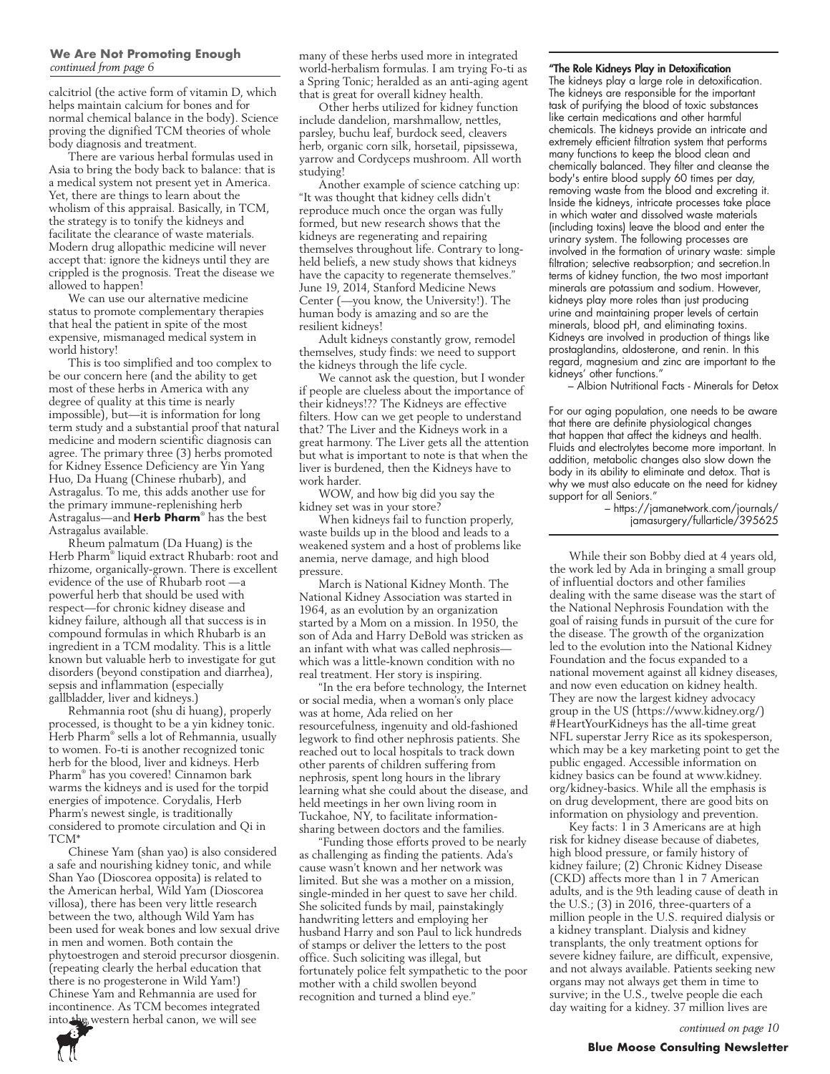## We Are Not Promoting Enough<br>continued from page 6

calcitriol (the active form of vitamin D, which helps maintain calcium for bones and for normal chemical balance in the body). Science proving the dignified TCM theories of whole body diagnosis and treatment.

There are various herbal formulas used in Asia to bring the body back to balance: that is a medical system not present yet in America. Yet, there are things to learn about the wholism of this appraisal. Basically, in TCM, the strategy is to tonify the kidneys and facilitate the clearance of waste materials. Modern drug allopathic medicine will never accept that: ignore the kidneys until they are crippled is the prognosis. Treat the disease we allowed to happen!

We can use our alternative medicine status to promote complementary therapies that heal the patient in spite of the most expensive, mismanaged medical system in world history!

This is too simplified and too complex to be our concern here (and the ability to get most of these herbs in America with any degree of quality at this time is nearly impossible), but—it is information for long term study and a substantial proof that natural medicine and modern scientific diagnosis can agree. The primary three (3) herbs promoted for Kidney Essence Deficiency are Yin Yang Huo, Da Huang (Chinese rhubarb), and Astragalus. To me, this adds another use for the primary immune-replenishing herb Astragalus—and **Herb Pharm**® has the best Astragalus available.

Rheum palmatum (Da Huang) is the Herb Pharm® liquid extract Rhubarb: root and rhizome, organically-grown. There is excellent evidence of the use of Rhubarb root —a powerful herb that should be used with respect—for chronic kidney disease and kidney failure, although all that success is in compound formulas in which Rhubarb is an ingredient in a TCM modality. This is a little known but valuable herb to investigate for gut disorders (beyond constipation and diarrhea), sepsis and inflammation (especially gallbladder, liver and kidneys.)

Rehmannia root (shu di huang), properly processed, is thought to be a yin kidney tonic. Herb Pharm® sells a lot of Rehmannia, usually to women. Fo-ti is another recognized tonic herb for the blood, liver and kidneys. Herb Pharm® has you covered! Cinnamon bark warms the kidneys and is used for the torpid energies of impotence. Corydalis, Herb Pharm's newest single, is traditionally considered to promote circulation and Qi in TCM\*

Chinese Yam (shan yao) is also considered a safe and nourishing kidney tonic, and while Shan Yao (Dioscorea opposita) is related to the American herbal, Wild Yam (Dioscorea villosa), there has been very little research between the two, although Wild Yam has been used for weak bones and low sexual drive in men and women. Both contain the phytoestrogen and steroid precursor diosgenin. (repeating clearly the herbal education that there is no progesterone in Wild Yam!) Chinese Yam and Rehmannia are used for incontinence. As TCM becomes integrated into the western herbal canon, we will see

many of these herbs used more in integrated world-herbalism formulas. I am trying Fo-ti as *continued from page 6* "The Role Kidneys Play in Detoxification a Spring Tonic; heralded as an anti-aging agent that is great for overall kidney health.

Other herbs utilized for kidney function include dandelion, marshmallow, nettles, parsley, buchu leaf, burdock seed, cleavers herb, organic corn silk, horsetail, pipsissewa, yarrow and Cordyceps mushroom. All worth studying!

Another example of science catching up: "It was thought that kidney cells didn't reproduce much once the organ was fully formed, but new research shows that the kidneys are regenerating and repairing themselves throughout life. Contrary to longheld beliefs, a new study shows that kidneys have the capacity to regenerate themselves." June 19, 2014, Stanford Medicine News Center (—you know, the University!). The human body is amazing and so are the resilient kidneys!

Adult kidneys constantly grow, remodel themselves, study finds: we need to support the kidneys through the life cycle.

We cannot ask the question, but I wonder if people are clueless about the importance of their kidneys!?? The Kidneys are effective filters. How can we get people to understand that? The Liver and the Kidneys work in a great harmony. The Liver gets all the attention but what is important to note is that when the liver is burdened, then the Kidneys have to work harder.

WOW, and how big did you say the kidney set was in your store?

When kidneys fail to function properly, waste builds up in the blood and leads to a weakened system and a host of problems like anemia, nerve damage, and high blood pressure.

March is National Kidney Month. The National Kidney Association was started in 1964, as an evolution by an organization started by a Mom on a mission. In 1950, the son of Ada and Harry DeBold was stricken as an infant with what was called nephrosis which was a little-known condition with no real treatment. Her story is inspiring.

"In the era before technology, the Internet or social media, when a woman's only place was at home, Ada relied on her resourcefulness, ingenuity and old-fashioned legwork to find other nephrosis patients. She reached out to local hospitals to track down other parents of children suffering from nephrosis, spent long hours in the library learning what she could about the disease, and held meetings in her own living room in Tuckahoe, NY, to facilitate informationsharing between doctors and the families.

"Funding those efforts proved to be nearly as challenging as finding the patients. Ada's cause wasn't known and her network was limited. But she was a mother on a mission, single-minded in her quest to save her child. She solicited funds by mail, painstakingly handwriting letters and employing her husband Harry and son Paul to lick hundreds of stamps or deliver the letters to the post office. Such soliciting was illegal, but fortunately police felt sympathetic to the poor mother with a child swollen beyond recognition and turned a blind eye."

The kidneys play a large role in detoxification. The kidneys are responsible for the important task of purifying the blood of toxic substances like certain medications and other harmful chemicals. The kidneys provide an intricate and extremely efficient filtration system that performs many functions to keep the blood clean and chemically balanced. They filter and cleanse the body's entire blood supply 60 times per day, removing waste from the blood and excreting it. Inside the kidneys, intricate processes take place in which water and dissolved waste materials (including toxins) leave the blood and enter the urinary system. The following processes are involved in the formation of urinary waste: simple filtration; selective reabsorption; and secretion.In terms of kidney function, the two most important minerals are potassium and sodium. However, kidneys play more roles than just producing urine and maintaining proper levels of certain minerals, blood pH, and eliminating toxins. Kidneys are involved in production of things like prostaglandins, aldosterone, and renin. In this regard, magnesium and zinc are important to the kidneys' other functions."

– Albion Nutritional Facts - Minerals for Detox

For our aging population, one needs to be aware that there are definite physiological changes that happen that affect the kidneys and health. Fluids and electrolytes become more important. In addition, metabolic changes also slow down the body in its ability to eliminate and detox. That is why we must also educate on the need for kidney support for all Seniors."

– https://jamanetwork.com/journals/ jamasurgery/fullarticle/395625

While their son Bobby died at 4 years old, the work led by Ada in bringing a small group of influential doctors and other families dealing with the same disease was the start of the National Nephrosis Foundation with the goal of raising funds in pursuit of the cure for the disease. The growth of the organization led to the evolution into the National Kidney Foundation and the focus expanded to a national movement against all kidney diseases, and now even education on kidney health. They are now the largest kidney advocacy group in the US (https://www.kidney.org/) #HeartYourKidneys has the all-time great NFL superstar Jerry Rice as its spokesperson, which may be a key marketing point to get the public engaged. Accessible information on kidney basics can be found at www.kidney. org/kidney-basics. While all the emphasis is on drug development, there are good bits on information on physiology and prevention.

Key facts: 1 in 3 Americans are at high risk for kidney disease because of diabetes, high blood pressure, or family history of kidney failure; (2) Chronic Kidney Disease (CKD) affects more than 1 in 7 American adults, and is the 9th leading cause of death in the U.S.; (3) in 2016, three-quarters of a million people in the U.S. required dialysis or a kidney transplant. Dialysis and kidney transplants, the only treatment options for severe kidney failure, are difficult, expensive, and not always available. Patients seeking new organs may not always get them in time to survive; in the U.S., twelve people die each day waiting for a kidney. 37 million lives are

*continued on page 10*

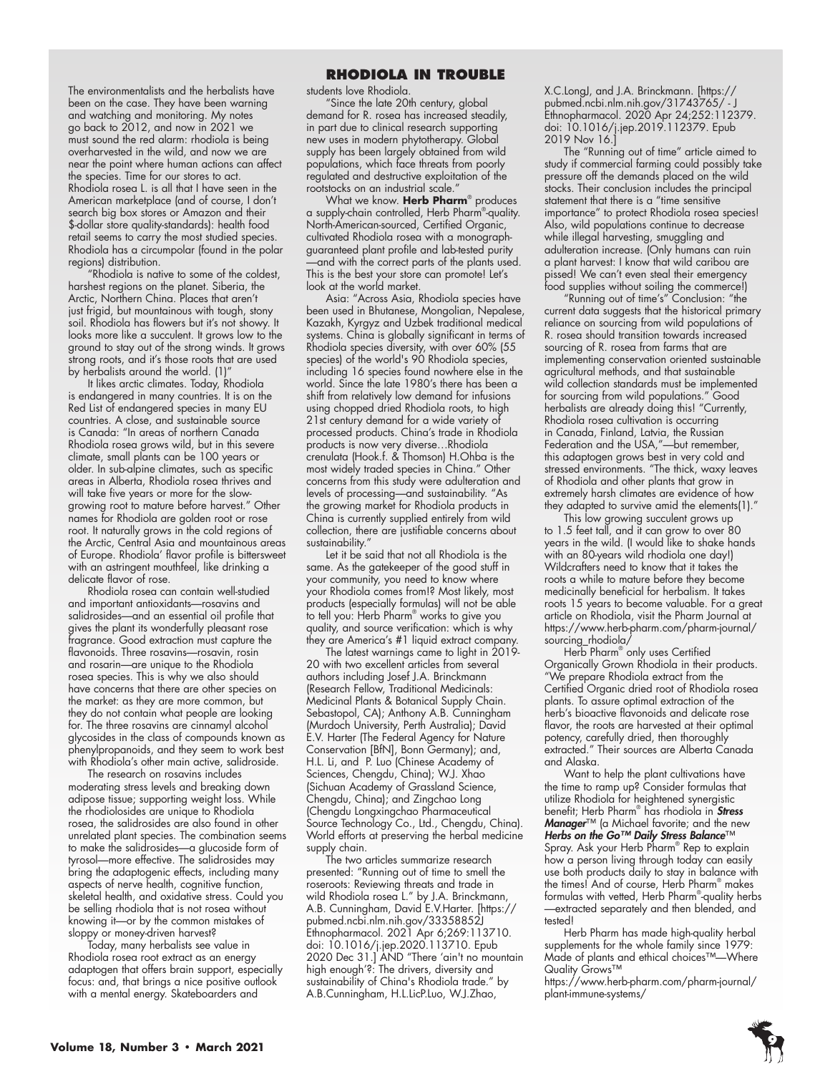The environmentalists and the herbalists have been on the case. They have been warning and watching and monitoring. My notes go back to 2012, and now in 2021 we must sound the red alarm: rhodiola is being overharvested in the wild, and now we are near the point where human actions can affect the species. Time for our stores to act. Rhodiola rosea L. is all that I have seen in the American marketplace (and of course, I don't search big box stores or Amazon and their \$-dollar store quality-standards): health food retail seems to carry the most studied species. Rhodiola has a circumpolar (found in the polar regions) distribution.

"Rhodiola is native to some of the coldest, harshest regions on the planet. Siberia, the Arctic, Northern China. Places that aren't just frigid, but mountainous with tough, stony soil. Rhodiola has flowers but it's not showy. It looks more like a succulent. It grows low to the ground to stay out of the strong winds. It grows strong roots, and it's those roots that are used by herbalists around the world. (1)

It likes arctic climates. Today, Rhodiola is endangered in many countries. It is on the Red List of endangered species in many EU countries. A close, and sustainable source is Canada: "In areas of northern Canada Rhodiola rosea grows wild, but in this severe climate, small plants can be 100 years or older. In sub-alpine climates, such as specific areas in Alberta, Rhodiola rosea thrives and will take five years or more for the slowgrowing root to mature before harvest." Other names for Rhodiola are golden root or rose root. It naturally grows in the cold regions of the Arctic, Central Asia and mountainous areas of Europe. Rhodiola' flavor profile is bittersweet with an astringent mouthfeel, like drinking a delicate flavor of rose.

Rhodiola rosea can contain well-studied and important antioxidants—rosavins and salidrosides—and an essential oil profile that gives the plant its wonderfully pleasant rose fragrance. Good extraction must capture the flavonoids. Three rosavins—rosavin, rosin and rosarin—are unique to the Rhodiola rosea species. This is why we also should have concerns that there are other species on the market: as they are more common, but they do not contain what people are looking for. The three rosavins are cinnamyl alcohol glycosides in the class of compounds known as phenylpropanoids, and they seem to work best with Rhodiola's other main active, salidroside.

The research on rosavins includes moderating stress levels and breaking down adipose tissue; supporting weight loss. While the rhodiolosides are unique to Rhodiola rosea, the salidrosides are also found in other unrelated plant species. The combination seems to make the salidrosides—a glucoside form of tyrosol—more effective. The salidrosides may bring the adaptogenic effects, including many aspects of nerve health, cognitive function, skeletal health, and oxidative stress. Could you be selling rhodiola that is not rosea without knowing it—or by the common mistakes of sloppy or money-driven harvest?

Today, many herbalists see value in Rhodiola rosea root extract as an energy adaptogen that offers brain support, especially focus: and, that brings a nice positive outlook with a mental energy. Skateboarders and

#### **RHODIOLA IN TROUBLE**

students love Rhodiola.

"Since the late 20th century, global demand for R. rosea has increased steadily, in part due to clinical research supporting new uses in modern phytotherapy. Global supply has been largely obtained from wild populations, which face threats from poorly regulated and destructive exploitation of the rootstocks on an industrial scale."

What we know. **Herb Pharm**® produces a supply-chain controlled, Herb Pharm® -quality. North-American-sourced, Certified Organic, cultivated Rhodiola rosea with a monographguaranteed plant profile and lab-tested purity —and with the correct parts of the plants used. This is the best your store can promote! Let's look at the world market.

Asia: "Across Asia, Rhodiola species have been used in Bhutanese, Mongolian, Nepalese, Kazakh, Kyrgyz and Uzbek traditional medical systems. China is globally significant in terms of Rhodiola species diversity, with over 60% (55 species) of the world's 90 Rhodiola species, including 16 species found nowhere else in the world. Since the late 1980's there has been a shift from relatively low demand for infusions using chopped dried Rhodiola roots, to high 21st century demand for a wide variety of processed products. China's trade in Rhodiola products is now very diverse…Rhodiola crenulata (Hook.f. & Thomson) H.Ohba is the most widely traded species in China." Other concerns from this study were adulteration and levels of processing—and sustainability. "As the growing market for Rhodiola products in China is currently supplied entirely from wild collection, there are justifiable concerns about sustainability.'

Let it be said that not all Rhodiola is the same. As the gatekeeper of the good stuff in your community, you need to know where your Rhodiola comes from!? Most likely, most products (especially formulas) will not be able to tell you: Herb Pharm® works to give you quality, and source verification: which is why they are America's #1 liquid extract company.

The latest warnings came to light in 2019- 20 with two excellent articles from several authors including Josef J.A. Brinckmann (Research Fellow, Traditional Medicinals: Medicinal Plants & Botanical Supply Chain. Sebastopol, CA); Anthony A.B. Cunningham (Murdoch University, Perth Australia); David E.V. Harter (The Federal Agency for Nature Conservation [BfN], Bonn Germany); and, H.L. Li, and P. Luo (Chinese Academy of Sciences, Chengdu, China); W.J. Xhao (Sichuan Academy of Grassland Science, Chengdu, China); and Zingchao Long (Chengdu Longxingchao Pharmaceutical Source Technology Co., Ltd., Chengdu, China). World efforts at preserving the herbal medicine supply chain.

The two articles summarize research presented: "Running out of time to smell the roseroots: Reviewing threats and trade in wild Rhodiola rosea L." by J.A. Brinckmann, A.B. Cunningham, David E.V.Harter. [https:// pubmed.ncbi.nlm.nih.gov/33358852J Ethnopharmacol. 2021 Apr 6;269:113710. doi: 10.1016/j.jep.2020.113710. Epub 2020 Dec 31.] AND "There 'ain't no mountain high enough'?: The drivers, diversity and sustainability of China's Rhodiola trade." by A.B.Cunningham, H.L.LicP.Luo, W.J.Zhao,

X.C.LongJ, and J.A. Brinckmann. [https:// pubmed.ncbi.nlm.nih.gov/31743765/ - J Ethnopharmacol. 2020 Apr 24;252:112379. doi: 10.1016/j.jep.2019.112379. Epub 2019 Nov 16.]

The "Running out of time" article aimed to study if commercial farming could possibly take pressure off the demands placed on the wild stocks. Their conclusion includes the principal statement that there is a "time sensitive importance" to protect Rhodiola rosea species! Also, wild populations continue to decrease while illegal harvesting, smuggling and adulteration increase. (Only humans can ruin a plant harvest: I know that wild caribou are pissed! We can't even steal their emergency food supplies without soiling the commerce!)

"Running out of time's" Conclusion: "the current data suggests that the historical primary reliance on sourcing from wild populations of R. rosea should transition towards increased sourcing of R. rosea from farms that are implementing conservation oriented sustainable agricultural methods, and that sustainable wild collection standards must be implemented for sourcing from wild populations." Good herbalists are already doing this! "Currently, Rhodiola rosea cultivation is occurring in Canada, Finland, Latvia, the Russian Federation and the USA,"—but remember, this adaptogen grows best in very cold and stressed environments. "The thick, waxy leaves of Rhodiola and other plants that grow in extremely harsh climates are evidence of how they adapted to survive amid the elements(1)."

This low growing succulent grows up to 1.5 feet tall, and it can grow to over 80 years in the wild. (I would like to shake hands with an 80-years wild rhodiola one day!) Wildcrafters need to know that it takes the roots a while to mature before they become medicinally beneficial for herbalism. It takes roots 15 years to become valuable. For a great article on Rhodiola, visit the Pharm Journal at https://www.herb-pharm.com/pharm-journal/ sourcing\_rhodiola/

Herb Pharm® only uses Certified Organically Grown Rhodiola in their products. "We prepare Rhodiola extract from the Certified Organic dried root of Rhodiola rosea plants. To assure optimal extraction of the herb's bioactive flavonoids and delicate rose flavor, the roots are harvested at their optimal potency, carefully dried, then thoroughly extracted." Their sources are Alberta Canada and Alaska.

Want to help the plant cultivations have the time to ramp up? Consider formulas that utilize Rhodiola for heightened synergistic benefit; Herb Pharm® has rhodiola in *Stress Manager*™ (a Michael favorite; and the new *Herbs on the Go™ Daily Stress Balance*™ Spray. Ask your Herb Pharm® Rep to explain how a person living through today can easily use both products daily to stay in balance with the times! And of course, Herb Pharm® makes formulas with vetted, Herb Pharm® -quality herbs —extracted separately and then blended, and tested!

Herb Pharm has made high-quality herbal supplements for the whole family since 1979: Made of plants and ethical choices™—Where Quality Grows™

https://www.herb-pharm.com/pharm-journal/ plant-immune-systems/